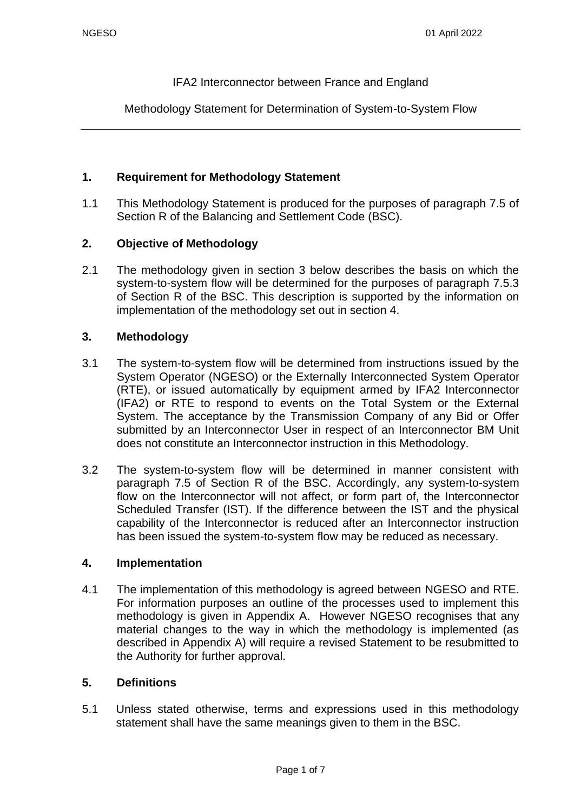#### IFA2 Interconnector between France and England

Methodology Statement for Determination of System-to-System Flow

#### **1. Requirement for Methodology Statement**

1.1 This Methodology Statement is produced for the purposes of paragraph 7.5 of Section R of the Balancing and Settlement Code (BSC).

### **2. Objective of Methodology**

2.1 The methodology given in section 3 below describes the basis on which the system-to-system flow will be determined for the purposes of paragraph 7.5.3 of Section R of the BSC. This description is supported by the information on implementation of the methodology set out in section 4.

#### **3. Methodology**

- 3.1 The system-to-system flow will be determined from instructions issued by the System Operator (NGESO) or the Externally Interconnected System Operator (RTE), or issued automatically by equipment armed by IFA2 Interconnector (IFA2) or RTE to respond to events on the Total System or the External System. The acceptance by the Transmission Company of any Bid or Offer submitted by an Interconnector User in respect of an Interconnector BM Unit does not constitute an Interconnector instruction in this Methodology.
- 3.2 The system-to-system flow will be determined in manner consistent with paragraph 7.5 of Section R of the BSC. Accordingly, any system-to-system flow on the Interconnector will not affect, or form part of, the Interconnector Scheduled Transfer (IST). If the difference between the IST and the physical capability of the Interconnector is reduced after an Interconnector instruction has been issued the system-to-system flow may be reduced as necessary.

#### **4. Implementation**

4.1 The implementation of this methodology is agreed between NGESO and RTE. For information purposes an outline of the processes used to implement this methodology is given in Appendix A. However NGESO recognises that any material changes to the way in which the methodology is implemented (as described in Appendix A) will require a revised Statement to be resubmitted to the Authority for further approval.

#### **5. Definitions**

5.1 Unless stated otherwise, terms and expressions used in this methodology statement shall have the same meanings given to them in the BSC.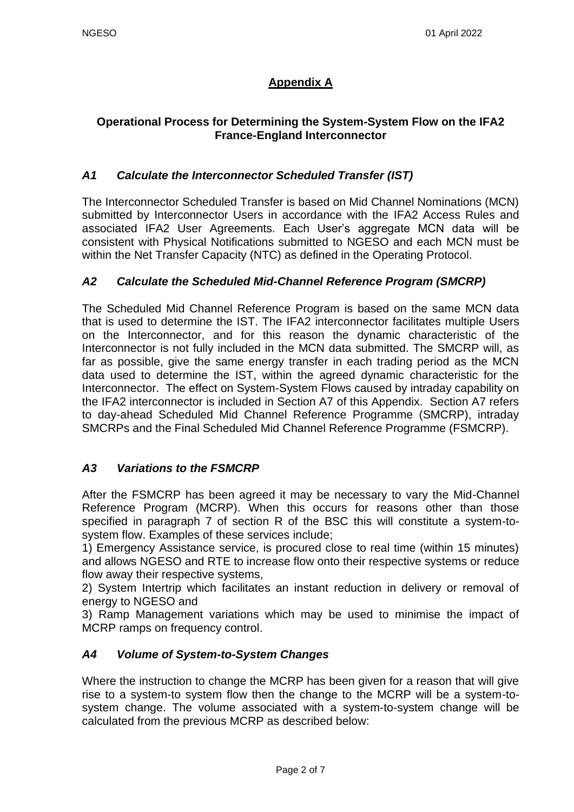# **Appendix A**

## **Operational Process for Determining the System-System Flow on the IFA2 France-England Interconnector**

## *A1 Calculate the Interconnector Scheduled Transfer (IST)*

The Interconnector Scheduled Transfer is based on Mid Channel Nominations (MCN) submitted by Interconnector Users in accordance with the IFA2 Access Rules and associated IFA2 User Agreements. Each User's aggregate MCN data will be consistent with Physical Notifications submitted to NGESO and each MCN must be within the Net Transfer Capacity (NTC) as defined in the Operating Protocol.

### *A2 Calculate the Scheduled Mid-Channel Reference Program (SMCRP)*

The Scheduled Mid Channel Reference Program is based on the same MCN data that is used to determine the IST. The IFA2 interconnector facilitates multiple Users on the Interconnector, and for this reason the dynamic characteristic of the Interconnector is not fully included in the MCN data submitted. The SMCRP will, as far as possible, give the same energy transfer in each trading period as the MCN data used to determine the IST, within the agreed dynamic characteristic for the Interconnector. The effect on System-System Flows caused by intraday capability on the IFA2 interconnector is included in Section A7 of this Appendix. Section A7 refers to day-ahead Scheduled Mid Channel Reference Programme (SMCRP), intraday SMCRPs and the Final Scheduled Mid Channel Reference Programme (FSMCRP).

### *A3 Variations to the FSMCRP*

After the FSMCRP has been agreed it may be necessary to vary the Mid-Channel Reference Program (MCRP). When this occurs for reasons other than those specified in paragraph 7 of section R of the BSC this will constitute a system-tosystem flow. Examples of these services include;

1) Emergency Assistance service, is procured close to real time (within 15 minutes) and allows NGESO and RTE to increase flow onto their respective systems or reduce flow away their respective systems,

2) System Intertrip which facilitates an instant reduction in delivery or removal of energy to NGESO and

3) Ramp Management variations which may be used to minimise the impact of MCRP ramps on frequency control.

### *A4 Volume of System-to-System Changes*

Where the instruction to change the MCRP has been given for a reason that will give rise to a system-to system flow then the change to the MCRP will be a system-tosystem change. The volume associated with a system-to-system change will be calculated from the previous MCRP as described below: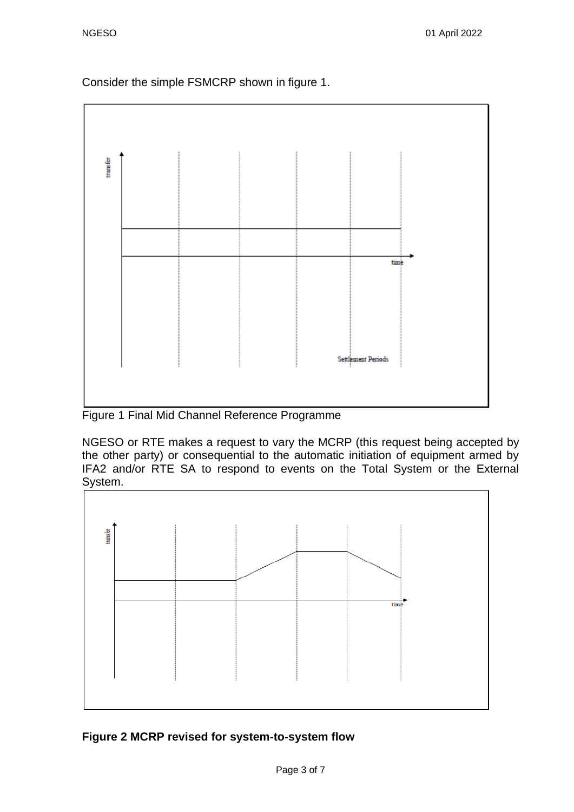Consider the simple FSMCRP shown in figure 1.



Figure 1 Final Mid Channel Reference Programme

NGESO or RTE makes a request to vary the MCRP (this request being accepted by the other party) or consequential to the automatic initiation of equipment armed by IFA2 and/or RTE SA to respond to events on the Total System or the External System.



# **Figure 2 MCRP revised for system-to-system flow**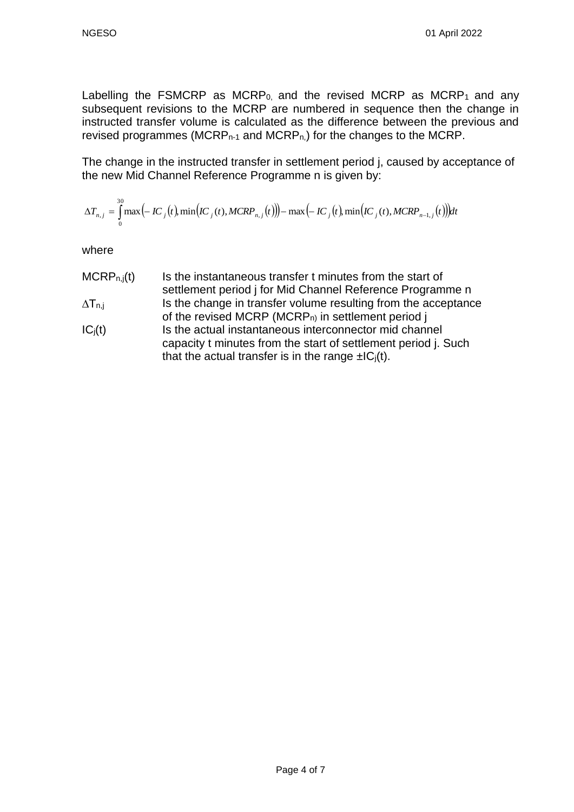Labelling the FSMCRP as MCRP<sub>0</sub>, and the revised MCRP as MCRP<sub>1</sub> and any subsequent revisions to the MCRP are numbered in sequence then the change in instructed transfer volume is calculated as the difference between the previous and revised programmes (MCRP $n-1$  and MCRP $n$ ) for the changes to the MCRP.

The change in the instructed transfer in settlement period j, caused by acceptance of the new Mid Channel Reference Programme n is given by:

$$
\Delta T_{n,j} = \int_{0}^{30} \max(-IC_{j}(t), \min(IC_{j}(t), MCRP_{n,j}(t))) - \max(-IC_{j}(t), \min(IC_{j}(t), MCRP_{n-1,j}(t)))dt
$$

where

- $MCRP_{n,j}(t)$  Is the instantaneous transfer t minutes from the start of settlement period j for Mid Channel Reference Programme n  $\Delta T_{n,i}$  Is the change in transfer volume resulting from the acceptance of the revised MCRP (MCRP<sub>n)</sub> in settlement period j
- $IC_j(t)$  Is the actual instantaneous interconnector mid channel capacity t minutes from the start of settlement period j. Such that the actual transfer is in the range  $\pm |C_i(t)|$ .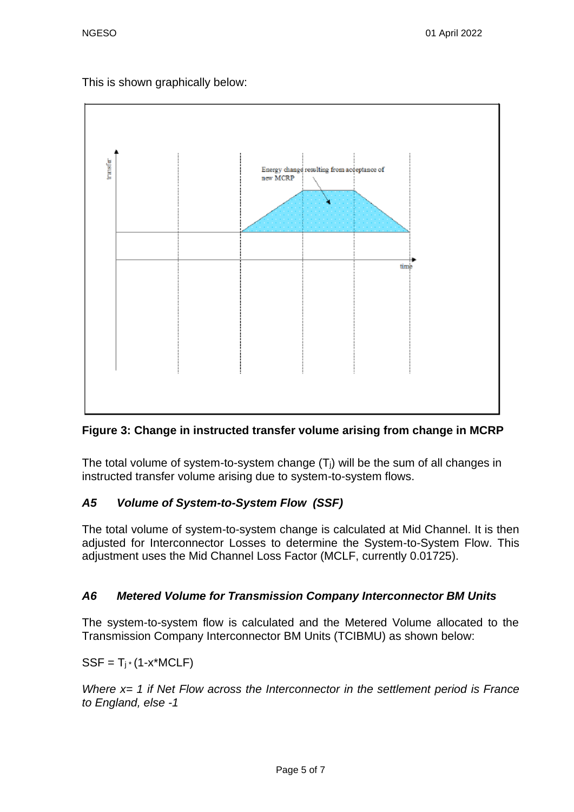This is shown graphically below:



# **Figure 3: Change in instructed transfer volume arising from change in MCRP**

The total volume of system-to-system change  $(T<sub>i</sub>)$  will be the sum of all changes in instructed transfer volume arising due to system-to-system flows.

# *A5 Volume of System-to-System Flow (SSF)*

The total volume of system-to-system change is calculated at Mid Channel. It is then adjusted for Interconnector Losses to determine the System-to-System Flow. This adjustment uses the Mid Channel Loss Factor (MCLF, currently 0.01725).

# *A6 Metered Volume for Transmission Company Interconnector BM Units*

The system-to-system flow is calculated and the Metered Volume allocated to the Transmission Company Interconnector BM Units (TCIBMU) as shown below:

 $SSF = T_i * (1-x^*MCLF)$ 

*Where x= 1 if Net Flow across the Interconnector in the settlement period is France to England, else -1*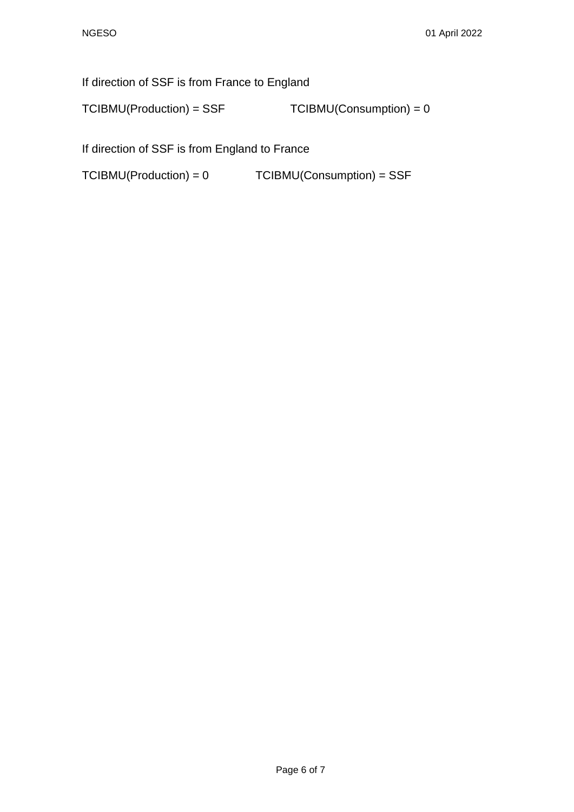If direction of SSF is from France to England

 $TCIBMU(Production) = SSF$   $TCIBMU(Construction) = 0$ 

If direction of SSF is from England to France

TCIBMU(Production) = 0 TCIBMU(Consumption) = SSF